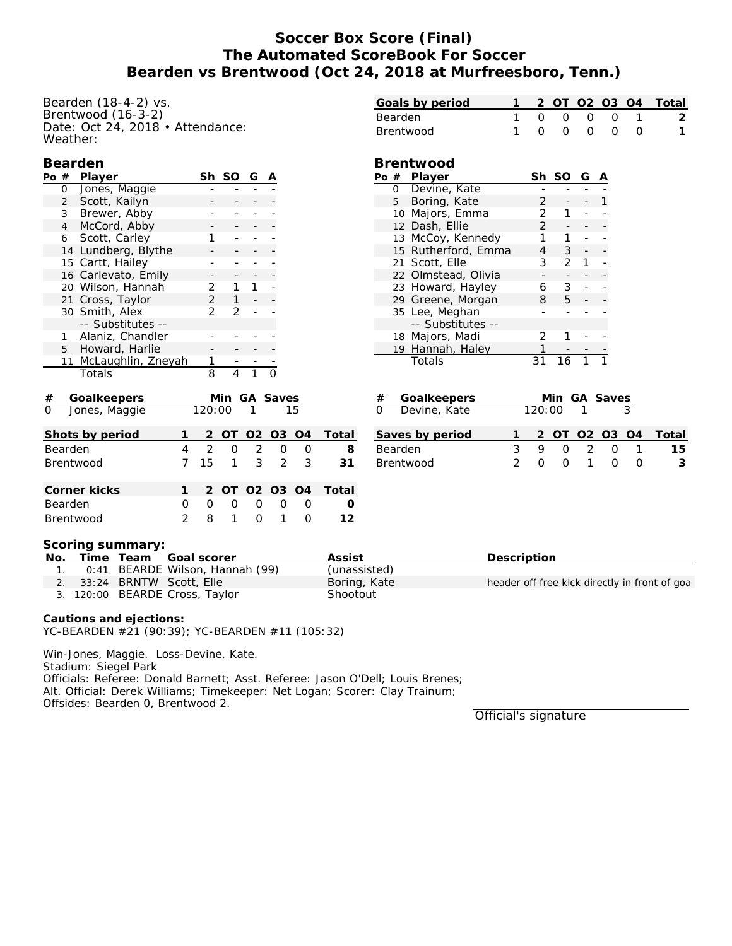# **Soccer Box Score (Final) The Automated ScoreBook For Soccer Bearden vs Brentwood (Oct 24, 2018 at Murfreesboro, Tenn.)**

| Bearden (18-4-2) vs.                                                                     |                                                 |                |                |                |                     |              |         |                                                                                   | Goals by period     | 1              | $\overline{2}$           |                |                | OT 02 03 04    |                                               | Total          |  |
|------------------------------------------------------------------------------------------|-------------------------------------------------|----------------|----------------|----------------|---------------------|--------------|---------|-----------------------------------------------------------------------------------|---------------------|----------------|--------------------------|----------------|----------------|----------------|-----------------------------------------------|----------------|--|
| Brentwood (16-3-2)                                                                       |                                                 |                |                |                |                     |              |         | Bearden                                                                           |                     | $\mathbf{1}$   | $\mathsf{O}$             | $\mathsf{O}$   | $\mathsf{O}$   | $\mathsf{O}$   | $\mathbf{1}$                                  | $\overline{2}$ |  |
| Date: Oct 24, 2018 · Attendance:                                                         |                                                 |                |                |                |                     |              |         | Brentwood                                                                         |                     | 1              | $\overline{O}$           | $\overline{O}$ | $\mathsf{O}$   | $\overline{O}$ | $\overline{O}$                                | $\mathbf{1}$   |  |
| Weather:                                                                                 |                                                 |                |                |                |                     |              |         |                                                                                   |                     |                |                          |                |                |                |                                               |                |  |
| Bearden                                                                                  |                                                 |                |                |                |                     |              |         |                                                                                   | Brentwood           |                |                          |                |                |                |                                               |                |  |
| Po # Player                                                                              |                                                 |                |                | Sh SO G A      |                     |              |         |                                                                                   | Po # Player         |                |                          | Sh SO G A      |                |                |                                               |                |  |
| Jones, Maggie<br>$\mathbf 0$                                                             |                                                 |                |                |                |                     |              |         | $\circ$                                                                           | Devine, Kate        |                |                          |                |                |                |                                               |                |  |
| $\overline{2}$<br>Scott, Kailyn                                                          |                                                 |                |                |                |                     |              |         |                                                                                   | 5 Boring, Kate      |                | 2                        |                |                |                |                                               |                |  |
| Brewer, Abby<br>3                                                                        |                                                 |                |                |                |                     |              |         |                                                                                   | 10 Majors, Emma     |                | 2                        | 1              |                |                |                                               |                |  |
| $\overline{4}$<br>McCord, Abby                                                           |                                                 |                |                |                |                     |              |         |                                                                                   | 12 Dash, Ellie      |                | $\overline{2}$           |                |                |                |                                               |                |  |
| Scott, Carley<br>6                                                                       |                                                 | 1              |                |                |                     |              |         |                                                                                   | 13 McCoy, Kennedy   |                | 1                        | 1              |                |                |                                               |                |  |
| 14 Lundberg, Blythe                                                                      |                                                 |                |                |                |                     |              |         |                                                                                   | 15 Rutherford, Emma |                | 4                        | 3              |                |                |                                               |                |  |
| 15 Cartt, Hailey                                                                         |                                                 |                |                |                |                     |              |         |                                                                                   | 21 Scott, Elle      |                | 3                        | $\overline{2}$ | 1              |                |                                               |                |  |
| 16 Carlevato, Emily                                                                      |                                                 |                |                |                |                     |              |         |                                                                                   | 22 Olmstead, Olivia |                | $\overline{\phantom{a}}$ |                |                |                |                                               |                |  |
| 20 Wilson, Hannah                                                                        |                                                 | $\overline{c}$ | $\mathbf{1}$   | 1              |                     |              |         |                                                                                   | 23 Howard, Hayley   |                | 6                        | 3              |                |                |                                               |                |  |
| 21 Cross, Taylor                                                                         |                                                 | $\overline{2}$ | $\mathbf{1}$   |                |                     |              |         |                                                                                   | 29 Greene, Morgan   |                | 8                        | 5              |                |                |                                               |                |  |
| 30 Smith, Alex                                                                           |                                                 | $\overline{2}$ | $\overline{2}$ |                |                     |              |         |                                                                                   | 35 Lee, Meghan      |                |                          |                |                |                |                                               |                |  |
| -- Substitutes --                                                                        |                                                 |                |                |                |                     |              |         |                                                                                   | -- Substitutes --   |                |                          |                |                |                |                                               |                |  |
| Alaniz, Chandler<br>$\mathbf{1}$                                                         |                                                 |                |                |                |                     |              |         |                                                                                   | 18 Majors, Madi     |                | 2                        | 1              |                |                |                                               |                |  |
| 5 Howard, Harlie                                                                         |                                                 |                |                |                |                     |              |         |                                                                                   | 19 Hannah, Haley    |                |                          |                |                |                |                                               |                |  |
| 11 McLaughlin, Zneyah                                                                    |                                                 | 1              |                |                |                     |              |         |                                                                                   | Totals              |                | 31                       | 16             |                |                |                                               |                |  |
| Totals                                                                                   |                                                 | $\mathsf{R}$   | 4              | 1              | $\Omega$            |              |         |                                                                                   |                     |                |                          |                |                |                |                                               |                |  |
|                                                                                          |                                                 |                |                |                |                     |              |         |                                                                                   |                     |                |                          |                |                |                |                                               |                |  |
| Goalkeepers<br>Min GA Saves<br>#<br>$\overline{0}$<br>120:00<br>Jones, Maggie<br>1<br>15 |                                                 |                |                |                |                     |              |         | Goalkeepers<br>Min GA Saves<br>#<br>$\overline{0}$<br>120:00<br>Devine, Kate<br>1 |                     |                |                          |                |                |                |                                               |                |  |
|                                                                                          |                                                 |                |                |                |                     |              |         |                                                                                   |                     |                |                          |                |                |                |                                               |                |  |
| Shots by period                                                                          |                                                 | $\overline{2}$ |                | OT 02 03 04    |                     |              | Total   |                                                                                   | Saves by period     | 1              | $\overline{2}$           |                |                | OT 02 03 04    |                                               | Total          |  |
| Bearden                                                                                  | 4                                               | $\overline{2}$ | $\mathsf O$    | $\overline{2}$ | $\mathsf O$         | $\mathsf{O}$ | 8       | Bearden                                                                           |                     | 3              | 9                        | $\mathsf O$    | $\overline{2}$ | $\mathsf O$    | $\mathbf{1}$                                  | 15             |  |
| <b>Brentwood</b>                                                                         | 7                                               | 15             | 1              | 3              | $\overline{2}$      | 3            | 31      | <b>Brentwood</b>                                                                  |                     | $\overline{2}$ | $\overline{O}$           | $\mathcal{O}$  | 1              | $\mathcal{O}$  | $\circ$                                       | 3              |  |
|                                                                                          |                                                 |                |                |                |                     |              |         |                                                                                   |                     |                |                          |                |                |                |                                               |                |  |
| Corner kicks                                                                             | 1                                               | $\overline{2}$ | OT             |                | 02 03 04            |              | Total   |                                                                                   |                     |                |                          |                |                |                |                                               |                |  |
| Bearden                                                                                  | $\mathsf O$                                     | $\overline{O}$ | $\mathbf 0$    | $\mathbf 0$    | $\mathsf{O}\xspace$ | $\mathbf{O}$ | $\circ$ |                                                                                   |                     |                |                          |                |                |                |                                               |                |  |
| Brentwood                                                                                | 2                                               | 8              | 1              | $\mathbf{O}$   | 1                   | $\mathbf 0$  | 12      |                                                                                   |                     |                |                          |                |                |                |                                               |                |  |
|                                                                                          |                                                 |                |                |                |                     |              |         |                                                                                   |                     |                |                          |                |                |                |                                               |                |  |
| Scoring summary:                                                                         |                                                 |                |                |                |                     |              |         |                                                                                   |                     |                |                          |                |                |                |                                               |                |  |
| Assist<br>No.<br>Time Team Goal scorer                                                   |                                                 |                |                |                |                     |              |         | Description                                                                       |                     |                |                          |                |                |                |                                               |                |  |
| 1.                                                                                       | 0:41 BEARDE Wilson, Hannah (99)<br>(unassisted) |                |                |                |                     |              |         |                                                                                   |                     |                |                          |                |                |                |                                               |                |  |
| 33:24 BRNTW Scott, Elle<br>2.                                                            |                                                 |                |                |                |                     | Boring, Kate |         |                                                                                   |                     |                |                          |                |                |                | header off free kick directly in front of goa |                |  |
|                                                                                          | 3. 120:00 BEARDE Cross, Taylor                  |                |                |                |                     |              |         | Shootout                                                                          |                     |                |                          |                |                |                |                                               |                |  |

**Cautions and ejections:** YC-BEARDEN #21 (90:39); YC-BEARDEN #11 (105:32)

Win-Jones, Maggie. Loss-Devine, Kate.

Stadium: Siegel Park

Officials: Referee: Donald Barnett; Asst. Referee: Jason O'Dell; Louis Brenes;

Alt. Official: Derek Williams; Timekeeper: Net Logan; Scorer: Clay Trainum;

Offsides: Bearden 0, Brentwood 2.

Official's signature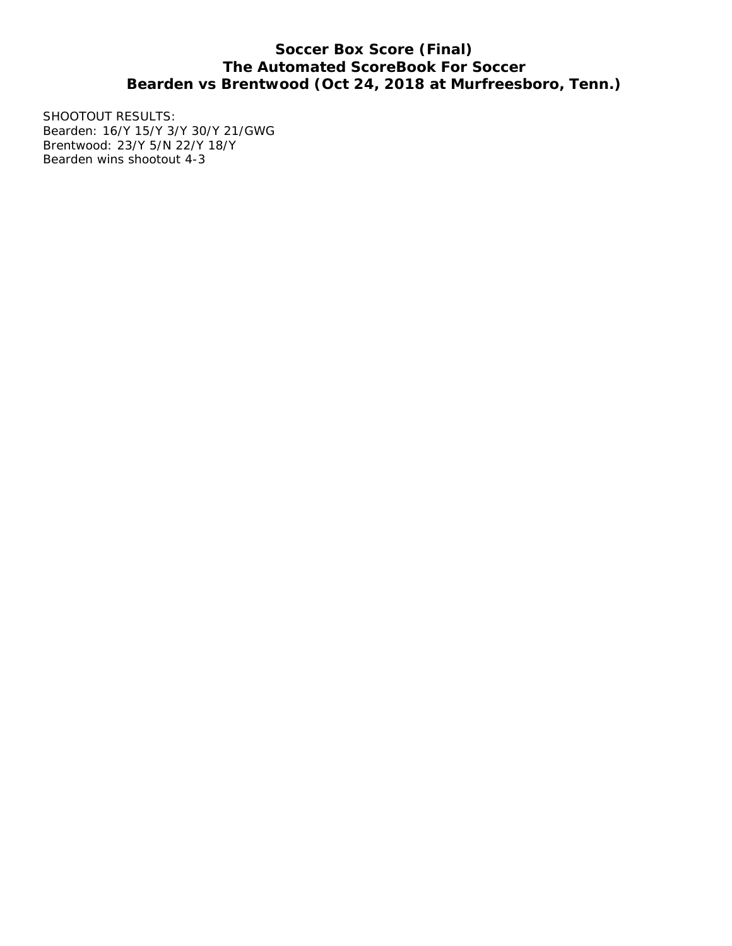# **Soccer Box Score (Final) The Automated ScoreBook For Soccer Bearden vs Brentwood (Oct 24, 2018 at Murfreesboro, Tenn.)**

SHOOTOUT RESULTS: Bearden: 16/Y 15/Y 3/Y 30/Y 21/GWG Brentwood: 23/Y 5/N 22/Y 18/Y Bearden wins shootout 4-3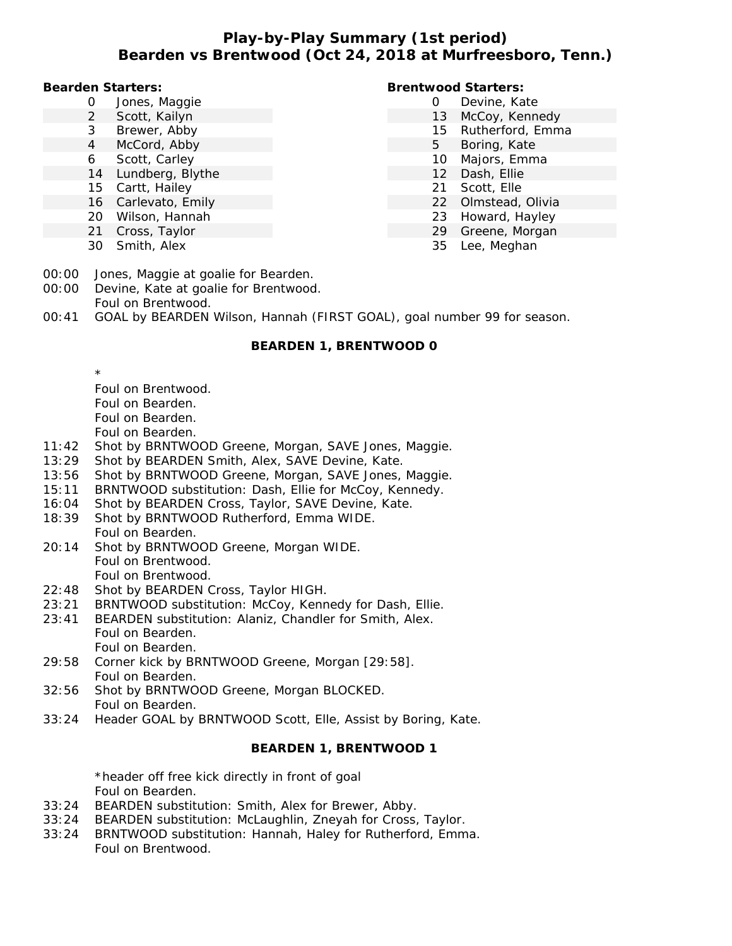### **Play-by-Play Summary (1st period) Bearden vs Brentwood (Oct 24, 2018 at Murfreesboro, Tenn.)**

**Bearden Starters:**

- 0 Jones, Maggie
- 2 Scott, Kailyn
- 3 Brewer, Abby
- 4 McCord, Abby
- 6 Scott, Carley
- 14 Lundberg, Blythe
- 15 Cartt, Hailey
- 16 Carlevato, Emily
- 20 Wilson, Hannah
- 21 Cross, Taylor
- 30 Smith, Alex

### **Brentwood Starters:**

- 0 Devine, Kate
	- 13 McCoy, Kennedy
	- 15 Rutherford, Emma
	- 5 Boring, Kate
	- 10 Majors, Emma
	- 12 Dash, Ellie
	- 21 Scott, Elle
	- 22 Olmstead, Olivia
	- 23 Howard, Hayley
	- 29 Greene, Morgan
		- 35 Lee, Meghan

- 00:00 Jones, Maggie at goalie for Bearden.
- 00:00 Devine, Kate at goalie for Brentwood.
- Foul on Brentwood.
- 00:41 GOAL by BEARDEN Wilson, Hannah (FIRST GOAL), goal number 99 for season.

#### **BEARDEN 1, BRENTWOOD 0**

- \*
- Foul on Brentwood.
- Foul on Bearden.
- Foul on Bearden.
- Foul on Bearden.
- 11:42 Shot by BRNTWOOD Greene, Morgan, SAVE Jones, Maggie.
- 13:29 Shot by BEARDEN Smith, Alex, SAVE Devine, Kate.
- 13:56 Shot by BRNTWOOD Greene, Morgan, SAVE Jones, Maggie.
- 15:11 BRNTWOOD substitution: Dash, Ellie for McCoy, Kennedy.
- 16:04 Shot by BEARDEN Cross, Taylor, SAVE Devine, Kate.
- 18:39 Shot by BRNTWOOD Rutherford, Emma WIDE. Foul on Bearden.
- 20:14 Shot by BRNTWOOD Greene, Morgan WIDE. Foul on Brentwood. Foul on Brentwood.
- 22:48 Shot by BEARDEN Cross, Taylor HIGH.
- 23:21 BRNTWOOD substitution: McCoy, Kennedy for Dash, Ellie.
- 23:41 BEARDEN substitution: Alaniz, Chandler for Smith, Alex. Foul on Bearden. Foul on Bearden.
- 29:58 Corner kick by BRNTWOOD Greene, Morgan [29:58]. Foul on Bearden.
- 32:56 Shot by BRNTWOOD Greene, Morgan BLOCKED. Foul on Bearden.
- 33:24 Header GOAL by BRNTWOOD Scott, Elle, Assist by Boring, Kate.

#### **BEARDEN 1, BRENTWOOD 1**

\*header off free kick directly in front of goal Foul on Bearden.

- 33:24 BEARDEN substitution: Smith, Alex for Brewer, Abby.
- 33:24 BEARDEN substitution: McLaughlin, Zneyah for Cross, Taylor.
- 33:24 BRNTWOOD substitution: Hannah, Haley for Rutherford, Emma. Foul on Brentwood.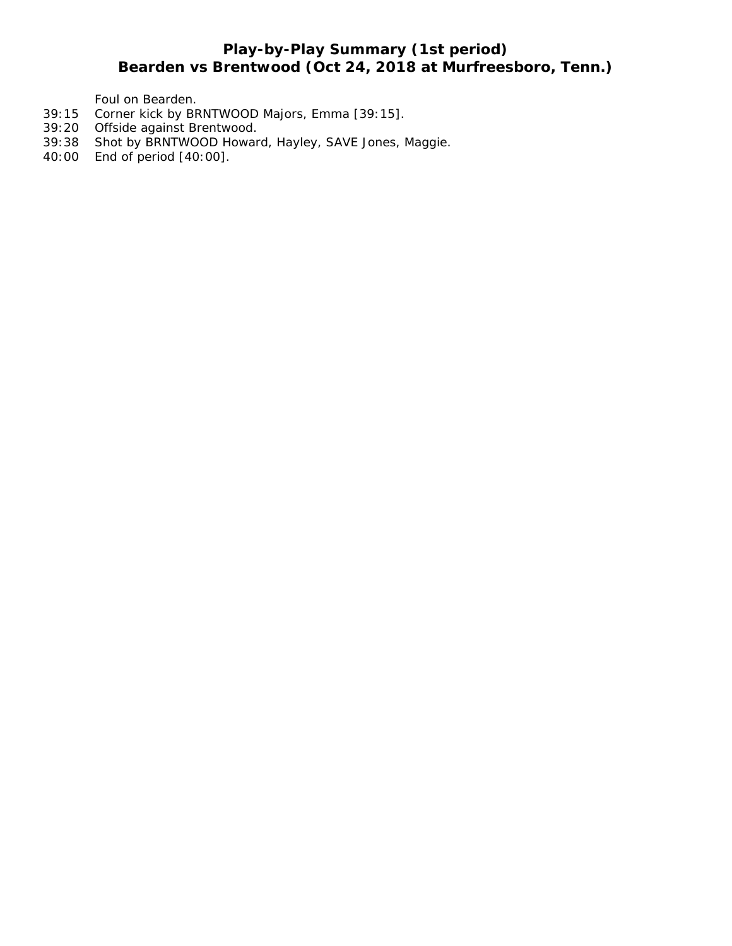# **Play-by-Play Summary (1st period) Bearden vs Brentwood (Oct 24, 2018 at Murfreesboro, Tenn.)**

Foul on Bearden.

- 39:15 Corner kick by BRNTWOOD Majors, Emma [39:15].
- 39:20 Offside against Brentwood.
- 39:38 Shot by BRNTWOOD Howard, Hayley, SAVE Jones, Maggie.
- 40:00 End of period [40:00].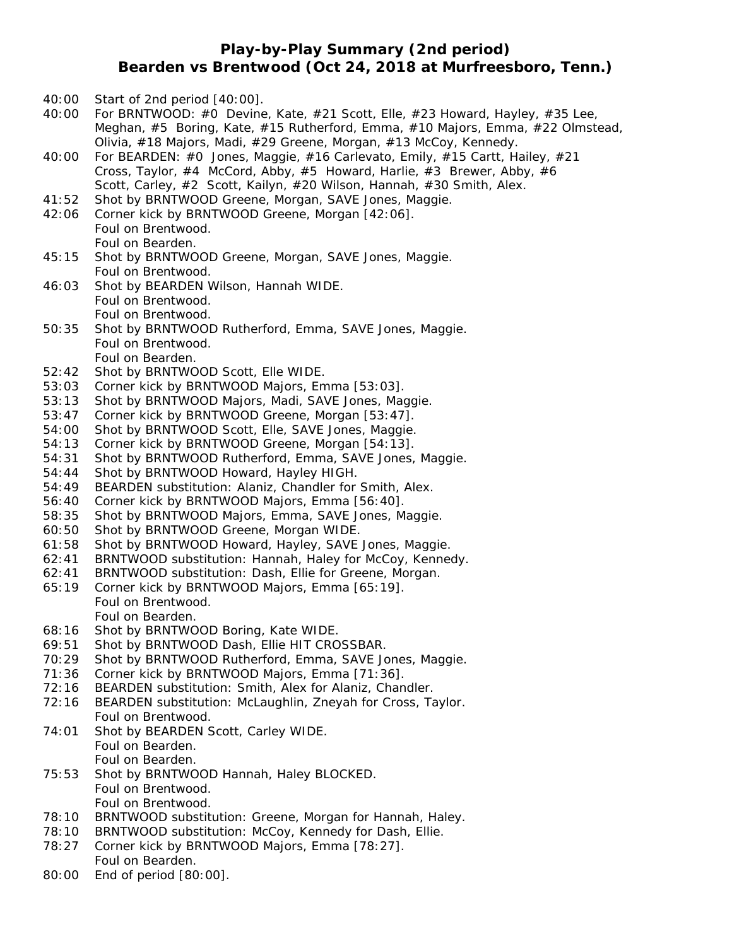### **Play-by-Play Summary (2nd period) Bearden vs Brentwood (Oct 24, 2018 at Murfreesboro, Tenn.)**

- 40:00 Start of 2nd period [40:00].
- 40:00 For BRNTWOOD: #0 Devine, Kate, #21 Scott, Elle, #23 Howard, Hayley, #35 Lee, Meghan, #5 Boring, Kate, #15 Rutherford, Emma, #10 Majors, Emma, #22 Olmstead, Olivia, #18 Majors, Madi, #29 Greene, Morgan, #13 McCoy, Kennedy.
- 40:00 For BEARDEN: #0 Jones, Maggie, #16 Carlevato, Emily, #15 Cartt, Hailey, #21 Cross, Taylor, #4 McCord, Abby, #5 Howard, Harlie, #3 Brewer, Abby, #6 Scott, Carley, #2 Scott, Kailyn, #20 Wilson, Hannah, #30 Smith, Alex.
- 41:52 Shot by BRNTWOOD Greene, Morgan, SAVE Jones, Maggie.
- 42:06 Corner kick by BRNTWOOD Greene, Morgan [42:06]. Foul on Brentwood. Foul on Bearden.
- 45:15 Shot by BRNTWOOD Greene, Morgan, SAVE Jones, Maggie. Foul on Brentwood.
- 46:03 Shot by BEARDEN Wilson, Hannah WIDE. Foul on Brentwood. Foul on Brentwood.
- 50:35 Shot by BRNTWOOD Rutherford, Emma, SAVE Jones, Maggie. Foul on Brentwood. Foul on Bearden.
- 52:42 Shot by BRNTWOOD Scott, Elle WIDE.
- 53:03 Corner kick by BRNTWOOD Majors, Emma [53:03].
- 53:13 Shot by BRNTWOOD Majors, Madi, SAVE Jones, Maggie.
- 53:47 Corner kick by BRNTWOOD Greene, Morgan [53:47].
- 54:00 Shot by BRNTWOOD Scott, Elle, SAVE Jones, Maggie.
- 54:13 Corner kick by BRNTWOOD Greene, Morgan [54:13].
- 54:31 Shot by BRNTWOOD Rutherford, Emma, SAVE Jones, Maggie.
- 54:44 Shot by BRNTWOOD Howard, Hayley HIGH.
- 54:49 BEARDEN substitution: Alaniz, Chandler for Smith, Alex.
- 56:40 Corner kick by BRNTWOOD Majors, Emma [56:40].
- 58:35 Shot by BRNTWOOD Majors, Emma, SAVE Jones, Maggie.
- 60:50 Shot by BRNTWOOD Greene, Morgan WIDE.
- 61:58 Shot by BRNTWOOD Howard, Hayley, SAVE Jones, Maggie.
- 62:41 BRNTWOOD substitution: Hannah, Haley for McCoy, Kennedy.
- 62:41 BRNTWOOD substitution: Dash, Ellie for Greene, Morgan.
- 65:19 Corner kick by BRNTWOOD Majors, Emma [65:19]. Foul on Brentwood. Foul on Bearden.
- 68:16 Shot by BRNTWOOD Boring, Kate WIDE.
- 69:51 Shot by BRNTWOOD Dash, Ellie HIT CROSSBAR.
- 70:29 Shot by BRNTWOOD Rutherford, Emma, SAVE Jones, Maggie.
- 71:36 Corner kick by BRNTWOOD Majors, Emma [71:36].
- 72:16 BEARDEN substitution: Smith, Alex for Alaniz, Chandler.
- 72:16 BEARDEN substitution: McLaughlin, Zneyah for Cross, Taylor. Foul on Brentwood.
- 74:01 Shot by BEARDEN Scott, Carley WIDE. Foul on Bearden. Foul on Bearden.
- 75:53 Shot by BRNTWOOD Hannah, Haley BLOCKED. Foul on Brentwood. Foul on Brentwood.
- 78:10 BRNTWOOD substitution: Greene, Morgan for Hannah, Haley.
- 78:10 BRNTWOOD substitution: McCoy, Kennedy for Dash, Ellie.
- 78:27 Corner kick by BRNTWOOD Majors, Emma [78:27]. Foul on Bearden.
- 80:00 End of period [80:00].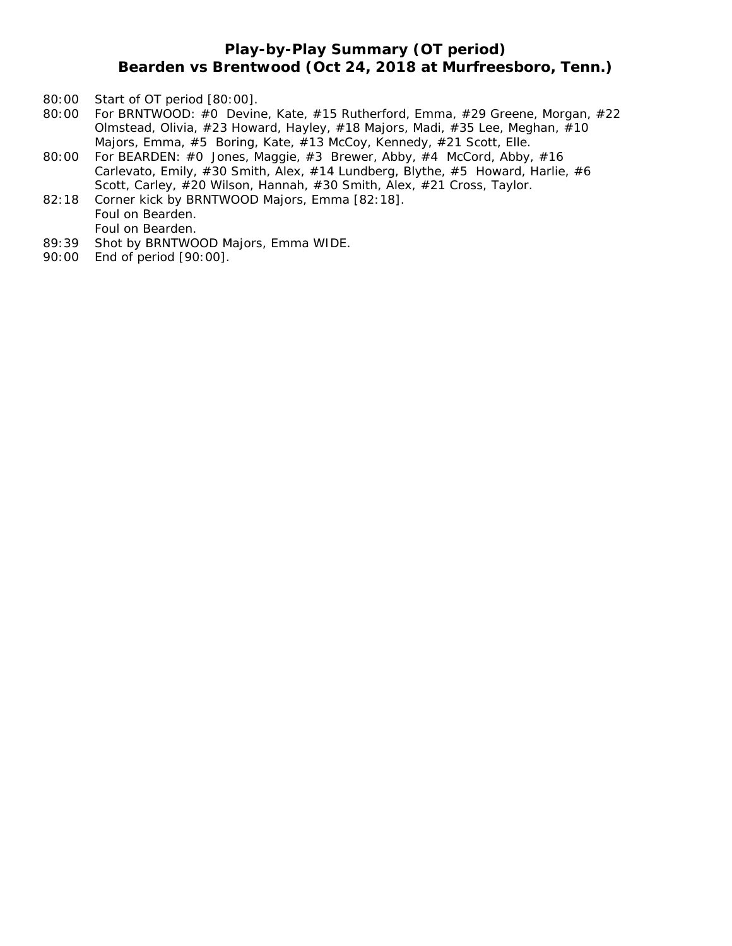## **Play-by-Play Summary (OT period) Bearden vs Brentwood (Oct 24, 2018 at Murfreesboro, Tenn.)**

- 80:00 Start of OT period [80:00].
- 80:00 For BRNTWOOD: #0 Devine, Kate, #15 Rutherford, Emma, #29 Greene, Morgan, #22 Olmstead, Olivia, #23 Howard, Hayley, #18 Majors, Madi, #35 Lee, Meghan, #10 Majors, Emma, #5 Boring, Kate, #13 McCoy, Kennedy, #21 Scott, Elle.
- 80:00 For BEARDEN: #0 Jones, Maggie, #3 Brewer, Abby, #4 McCord, Abby, #16 Carlevato, Emily, #30 Smith, Alex, #14 Lundberg, Blythe, #5 Howard, Harlie, #6 Scott, Carley, #20 Wilson, Hannah, #30 Smith, Alex, #21 Cross, Taylor.
- 82:18 Corner kick by BRNTWOOD Majors, Emma [82:18]. Foul on Bearden. Foul on Bearden.
- 89:39 Shot by BRNTWOOD Majors, Emma WIDE.
- 90:00 End of period [90:00].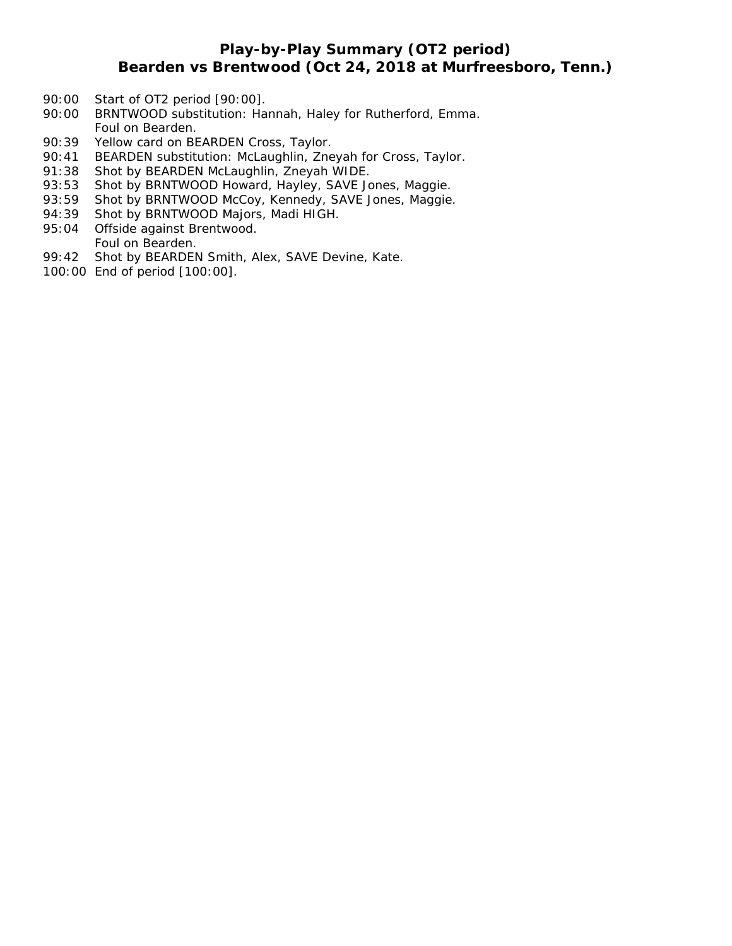## **Play-by-Play Summary (OT2 period) Bearden vs Brentwood (Oct 24, 2018 at Murfreesboro, Tenn.)**

- 90:00 Start of OT2 period [90:00].
- 90:00 BRNTWOOD substitution: Hannah, Haley for Rutherford, Emma. Foul on Bearden.
- 90:39 Yellow card on BEARDEN Cross, Taylor.
- 90:41 BEARDEN substitution: McLaughlin, Zneyah for Cross, Taylor.
- 91:38 Shot by BEARDEN McLaughlin, Zneyah WIDE.
- 93:53 Shot by BRNTWOOD Howard, Hayley, SAVE Jones, Maggie.
- 93:59 Shot by BRNTWOOD McCoy, Kennedy, SAVE Jones, Maggie.
- 94:39 Shot by BRNTWOOD Majors, Madi HIGH.
- 95:04 Offside against Brentwood. Foul on Bearden.
- 99:42 Shot by BEARDEN Smith, Alex, SAVE Devine, Kate.
- 100:00 End of period [100:00].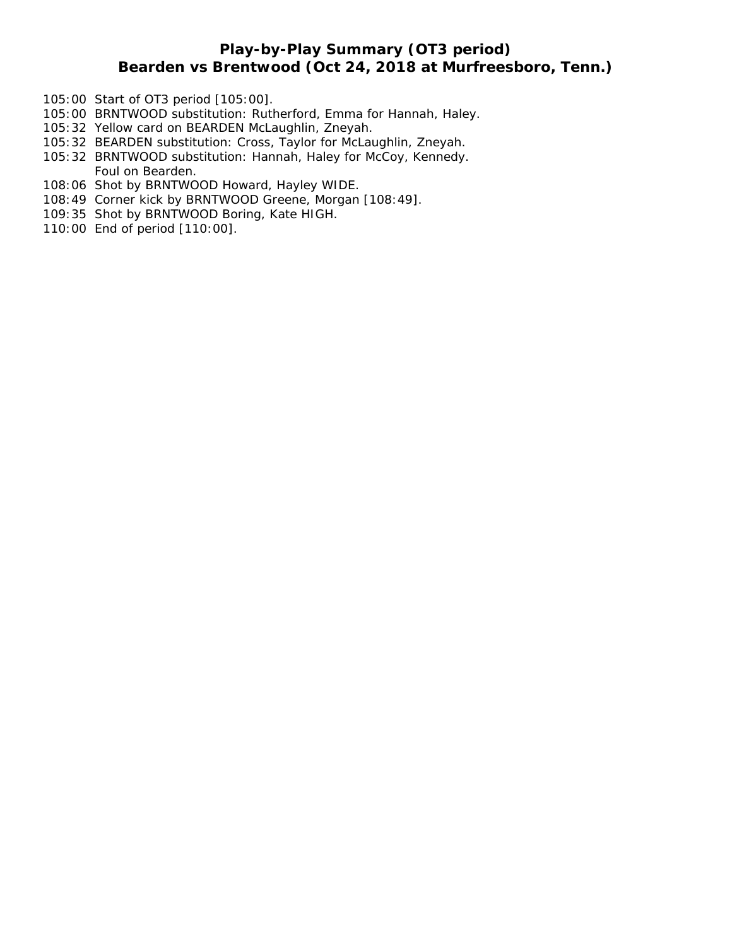# **Play-by-Play Summary (OT3 period) Bearden vs Brentwood (Oct 24, 2018 at Murfreesboro, Tenn.)**

- 105:00 Start of OT3 period [105:00].
- 105:00 BRNTWOOD substitution: Rutherford, Emma for Hannah, Haley.
- 105:32 Yellow card on BEARDEN McLaughlin, Zneyah.
- 105:32 BEARDEN substitution: Cross, Taylor for McLaughlin, Zneyah.
- 105:32 BRNTWOOD substitution: Hannah, Haley for McCoy, Kennedy. Foul on Bearden.
- 108:06 Shot by BRNTWOOD Howard, Hayley WIDE.
- 108:49 Corner kick by BRNTWOOD Greene, Morgan [108:49].
- 109:35 Shot by BRNTWOOD Boring, Kate HIGH.
- 110:00 End of period [110:00].